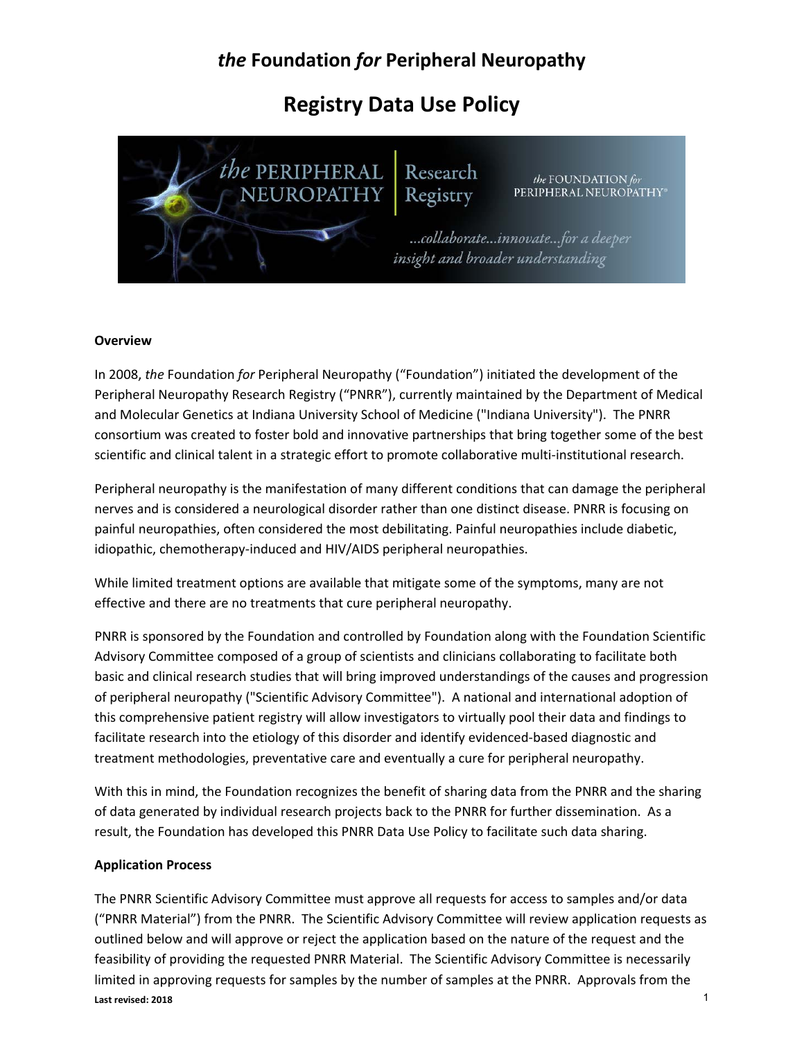# *the* **Foundation** *for* **Peripheral Neuropathy**

# **Registry Data Use Policy**



Research Registry

the FOUNDATION for PERIPHERAL NEUROPATHY®

...collaborate...innovate...for a deeper insight and broader understanding

### **Overview**

In 2008, *the* Foundation *for* Peripheral Neuropathy ("Foundation") initiated the development of the Peripheral Neuropathy Research Registry ("PNRR"), currently maintained by the Department of Medical and Molecular Genetics at Indiana University School of Medicine ("Indiana University"). The PNRR consortium was created to foster bold and innovative partnerships that bring together some of the best scientific and clinical talent in a strategic effort to promote collaborative multi-institutional research.

Peripheral neuropathy is the manifestation of many different conditions that can damage the peripheral nerves and is considered a neurological disorder rather than one distinct disease. PNRR is focusing on painful neuropathies, often considered the most debilitating. Painful neuropathies include diabetic, idiopathic, chemotherapy‐induced and HIV/AIDS peripheral neuropathies.

While limited treatment options are available that mitigate some of the symptoms, many are not effective and there are no treatments that cure peripheral neuropathy.

PNRR is sponsored by the Foundation and controlled by Foundation along with the Foundation Scientific Advisory Committee composed of a group of scientists and clinicians collaborating to facilitate both basic and clinical research studies that will bring improved understandings of the causes and progression of peripheral neuropathy ("Scientific Advisory Committee"). A national and international adoption of this comprehensive patient registry will allow investigators to virtually pool their data and findings to facilitate research into the etiology of this disorder and identify evidenced‐based diagnostic and treatment methodologies, preventative care and eventually a cure for peripheral neuropathy.

With this in mind, the Foundation recognizes the benefit of sharing data from the PNRR and the sharing of data generated by individual research projects back to the PNRR for further dissemination. As a result, the Foundation has developed this PNRR Data Use Policy to facilitate such data sharing.

### **Application Process**

**Last revised: 2018** The PNRR Scientific Advisory Committee must approve all requests for access to samples and/or data ("PNRR Material") from the PNRR. The Scientific Advisory Committee will review application requests as outlined below and will approve or reject the application based on the nature of the request and the feasibility of providing the requested PNRR Material. The Scientific Advisory Committee is necessarily limited in approving requests for samples by the number of samples at the PNRR. Approvals from the 1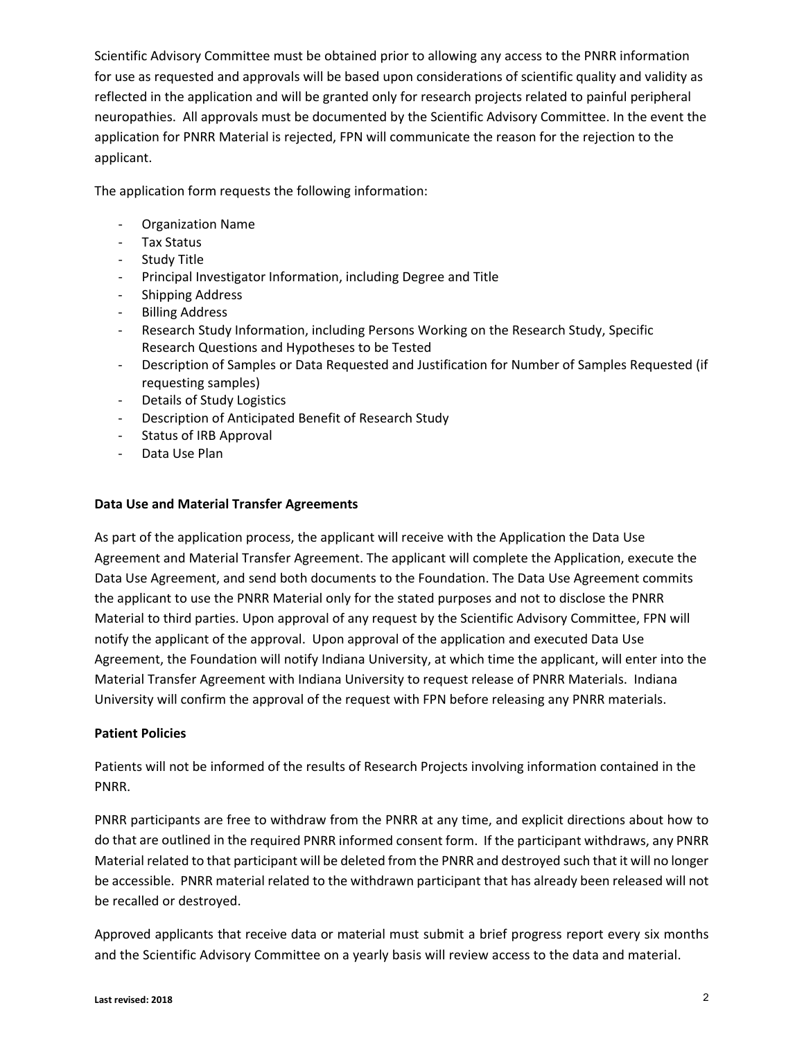Scientific Advisory Committee must be obtained prior to allowing any access to the PNRR information for use as requested and approvals will be based upon considerations of scientific quality and validity as reflected in the application and will be granted only for research projects related to painful peripheral neuropathies. All approvals must be documented by the Scientific Advisory Committee. In the event the application for PNRR Material is rejected, FPN will communicate the reason for the rejection to the applicant.

The application form requests the following information:

- ‐ Organization Name
- ‐ Tax Status
- ‐ Study Title
- ‐ Principal Investigator Information, including Degree and Title
- ‐ Shipping Address
- ‐ Billing Address
- ‐ Research Study Information, including Persons Working on the Research Study, Specific Research Questions and Hypotheses to be Tested
- ‐ Description of Samples or Data Requested and Justification for Number of Samples Requested (if requesting samples)
- ‐ Details of Study Logistics
- ‐ Description of Anticipated Benefit of Research Study
- ‐ Status of IRB Approval
- ‐ Data Use Plan

### **Data Use and Material Transfer Agreements**

As part of the application process, the applicant will receive with the Application the Data Use Agreement and Material Transfer Agreement. The applicant will complete the Application, execute the Data Use Agreement, and send both documents to the Foundation. The Data Use Agreement commits the applicant to use the PNRR Material only for the stated purposes and not to disclose the PNRR Material to third parties. Upon approval of any request by the Scientific Advisory Committee, FPN will notify the applicant of the approval. Upon approval of the application and executed Data Use Agreement, the Foundation will notify Indiana University, at which time the applicant, will enter into the Material Transfer Agreement with Indiana University to request release of PNRR Materials. Indiana University will confirm the approval of the request with FPN before releasing any PNRR materials.

### **Patient Policies**

Patients will not be informed of the results of Research Projects involving information contained in the PNRR.

PNRR participants are free to withdraw from the PNRR at any time, and explicit directions about how to do that are outlined in the required PNRR informed consent form. If the participant withdraws, any PNRR Material related to that participant will be deleted from the PNRR and destroyed such that it will no longer be accessible. PNRR material related to the withdrawn participant that has already been released will not be recalled or destroyed.

Approved applicants that receive data or material must submit a brief progress report every six months and the Scientific Advisory Committee on a yearly basis will review access to the data and material.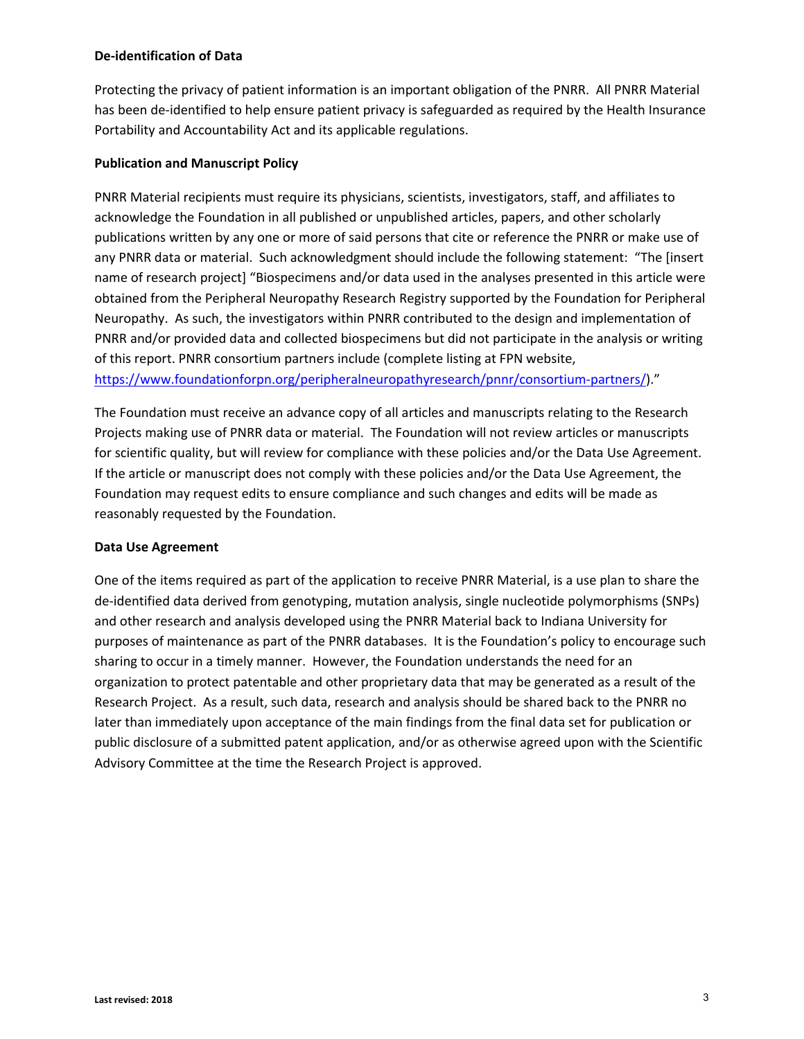### **De‐identification of Data**

Protecting the privacy of patient information is an important obligation of the PNRR. All PNRR Material has been de-identified to help ensure patient privacy is safeguarded as required by the Health Insurance Portability and Accountability Act and its applicable regulations.

### **Publication and Manuscript Policy**

PNRR Material recipients must require its physicians, scientists, investigators, staff, and affiliates to acknowledge the Foundation in all published or unpublished articles, papers, and other scholarly publications written by any one or more of said persons that cite or reference the PNRR or make use of any PNRR data or material. Such acknowledgment should include the following statement: "The [insert name of research project] "Biospecimens and/or data used in the analyses presented in this article were obtained from the Peripheral Neuropathy Research Registry supported by the Foundation for Peripheral Neuropathy. As such, the investigators within PNRR contributed to the design and implementation of PNRR and/or provided data and collected biospecimens but did not participate in the analysis or writing of this report. PNRR consortium partners include (complete listing at FPN website,

[https://www.foundationforpn.org/peripheralneuropathyresearch/pnnr/consortium](https://www.foundationforpn.org/peripheralneuropathyresearch/pnnr/consortium-partners/)‐partners/)."

The Foundation must receive an advance copy of all articles and manuscripts relating to the Research Projects making use of PNRR data or material. The Foundation will not review articles or manuscripts for scientific quality, but will review for compliance with these policies and/or the Data Use Agreement. If the article or manuscript does not comply with these policies and/or the Data Use Agreement, the Foundation may request edits to ensure compliance and such changes and edits will be made as reasonably requested by the Foundation.

### **Data Use Agreement**

One of the items required as part of the application to receive PNRR Material, is a use plan to share the de-identified data derived from genotyping, mutation analysis, single nucleotide polymorphisms (SNPs) and other research and analysis developed using the PNRR Material back to Indiana University for purposes of maintenance as part of the PNRR databases. It is the Foundation's policy to encourage such sharing to occur in a timely manner. However, the Foundation understands the need for an organization to protect patentable and other proprietary data that may be generated as a result of the Research Project. As a result, such data, research and analysis should be shared back to the PNRR no later than immediately upon acceptance of the main findings from the final data set for publication or public disclosure of a submitted patent application, and/or as otherwise agreed upon with the Scientific Advisory Committee at the time the Research Project is approved.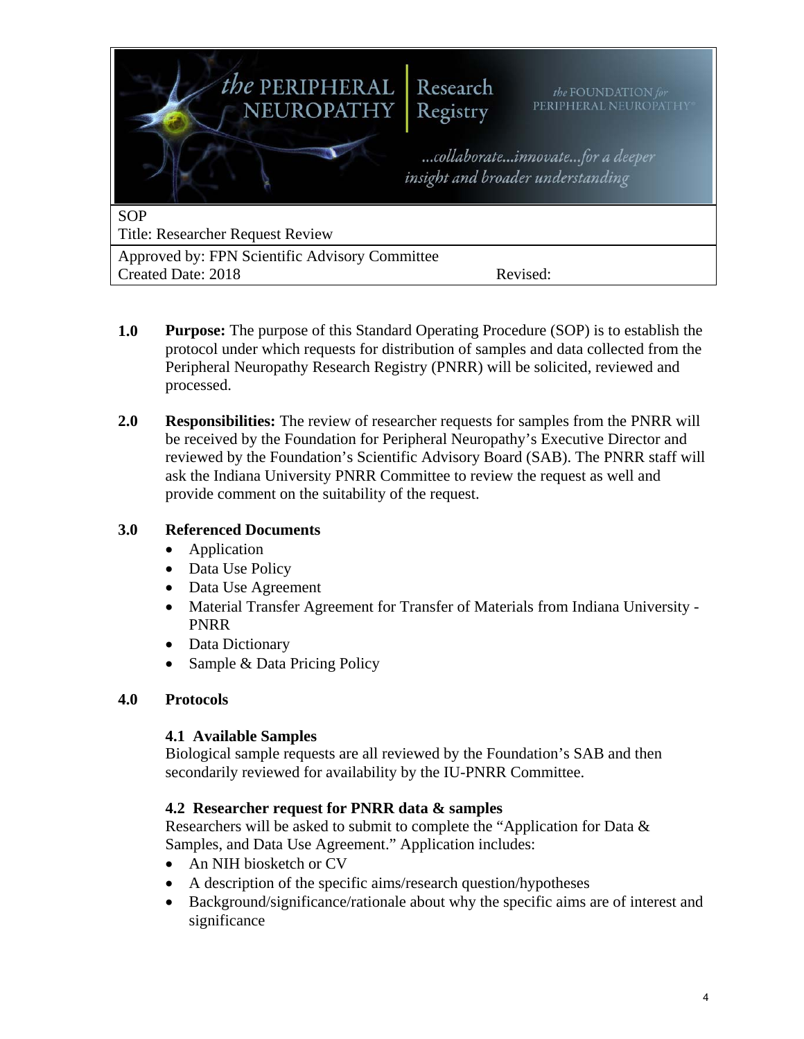

- **1.0 Purpose:** The purpose of this Standard Operating Procedure (SOP) is to establish the protocol under which requests for distribution of samples and data collected from the Peripheral Neuropathy Research Registry (PNRR) will be solicited, reviewed and processed.
- **2.0 Responsibilities:** The review of researcher requests for samples from the PNRR will be received by the Foundation for Peripheral Neuropathy's Executive Director and reviewed by the Foundation's Scientific Advisory Board (SAB). The PNRR staff will ask the Indiana University PNRR Committee to review the request as well and provide comment on the suitability of the request.

# **3.0 Referenced Documents**

- Application
- Data Use Policy
- Data Use Agreement
- Material Transfer Agreement for Transfer of Materials from Indiana University PNRR
- Data Dictionary
- Sample & Data Pricing Policy

# **4.0 Protocols**

# **4.1 Available Samples**

Biological sample requests are all reviewed by the Foundation's SAB and then secondarily reviewed for availability by the IU-PNRR Committee.

# **4.2 Researcher request for PNRR data & samples**

Researchers will be asked to submit to complete the "Application for Data & Samples, and Data Use Agreement." Application includes:

- An NIH biosketch or CV
- A description of the specific aims/research question/hypotheses
- Background/significance/rationale about why the specific aims are of interest and significance